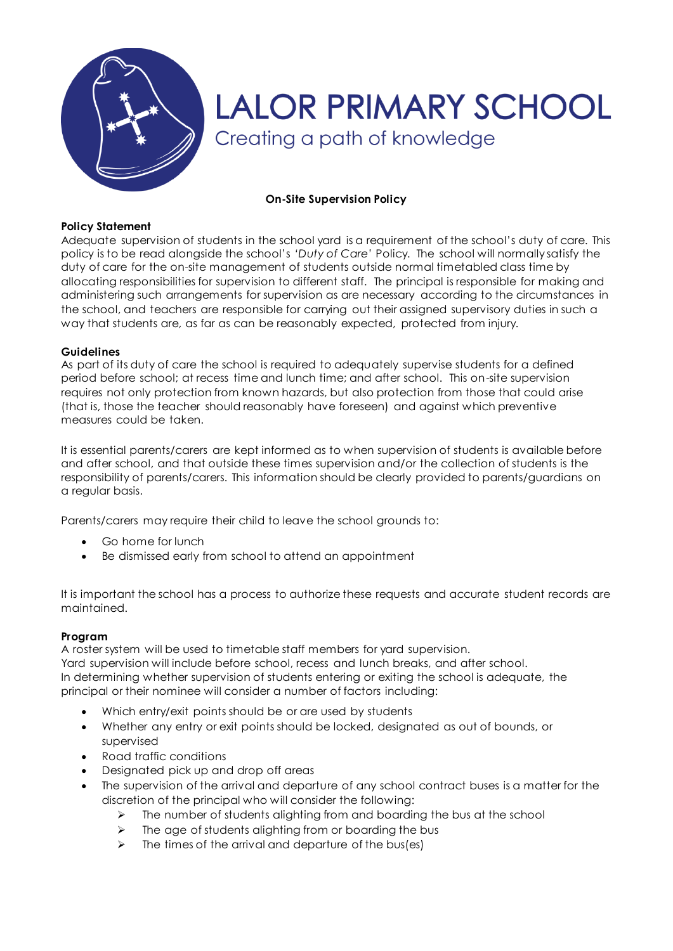

# **LALOR PRIMARY SCHOOL** Creating a path of knowledge

### **On-Site Supervision Policy**

#### **Policy Statement**

Adequate supervision of students in the school yard is a requirement of the school's duty of care. This policy is to be read alongside the school's *'Duty of Care'* Policy. The school will normally satisfy the duty of care for the on-site management of students outside normal timetabled class time by allocating responsibilities for supervision to different staff. The principal is responsible for making and administering such arrangements for supervision as are necessary according to the circumstances in the school, and teachers are responsible for carrying out their assigned supervisory duties in such a way that students are, as far as can be reasonably expected, protected from injury.

#### **Guidelines**

As part of its duty of care the school is required to adequately supervise students for a defined period before school; at recess time and lunch time; and after school. This on-site supervision requires not only protection from known hazards, but also protection from those that could arise (that is, those the teacher should reasonably have foreseen) and against which preventive measures could be taken.

It is essential parents/carers are kept informed as to when supervision of students is available before and after school, and that outside these times supervision and/or the collection of students is the responsibility of parents/carers. This information should be clearly provided to parents/guardians on a regular basis.

Parents/carers may require their child to leave the school grounds to:

- Go home for lunch
- Be dismissed early from school to attend an appointment

It is important the school has a process to authorize these requests and accurate student records are maintained.

## **Program**

A roster system will be used to timetable staff members for yard supervision.

Yard supervision will include before school, recess and lunch breaks, and after school. In determining whether supervision of students entering or exiting the school is adequate, the principal or their nominee will consider a number of factors including:

- Which entry/exit points should be or are used by students
- Whether any entry or exit points should be locked, designated as out of bounds, or supervised
- Road traffic conditions
- Designated pick up and drop off areas
- The supervision of the arrival and departure of any school contract buses is a matter for the discretion of the principal who will consider the following:
	- $\triangleright$  The number of students alighting from and boarding the bus at the school
	- The age of students alighting from or boarding the bus
	- $\triangleright$  The times of the arrival and departure of the bus(es)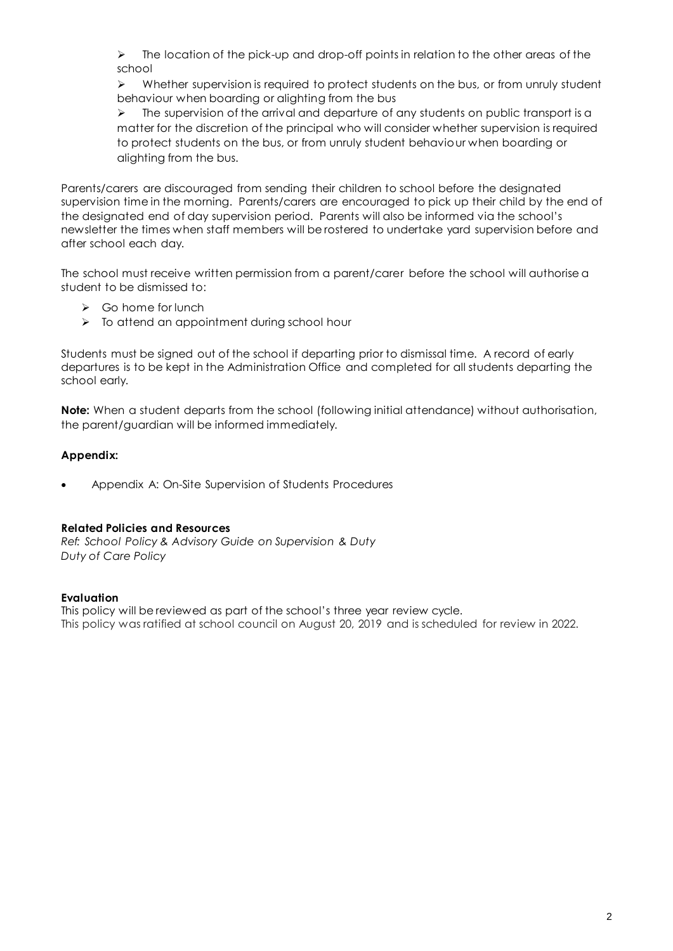$\triangleright$  The location of the pick-up and drop-off points in relation to the other areas of the school

 $\triangleright$  Whether supervision is required to protect students on the bus, or from unruly student behaviour when boarding or alighting from the bus

 $\triangleright$  The supervision of the arrival and departure of any students on public transport is a matter for the discretion of the principal who will consider whether supervision is required to protect students on the bus, or from unruly student behaviour when boarding or alighting from the bus.

Parents/carers are discouraged from sending their children to school before the designated supervision time in the morning. Parents/carers are encouraged to pick up their child by the end of the designated end of day supervision period. Parents will also be informed via the school's newsletter the times when staff members will be rostered to undertake yard supervision before and after school each day.

The school must receive written permission from a parent/carer before the school will authorise a student to be dismissed to:

- $\triangleright$  Go home for lunch
- $\triangleright$  To attend an appointment during school hour

Students must be signed out of the school if departing prior to dismissal time. A record of early departures is to be kept in the Administration Office and completed for all students departing the school early.

**Note:** When a student departs from the school (following initial attendance) without authorisation, the parent/guardian will be informed immediately.

#### **Appendix:**

Appendix A: On-Site Supervision of Students Procedures

#### **Related Policies and Resources**

*Ref: School Policy & Advisory Guide on Supervision & Duty Duty of Care Policy*

#### **Evaluation**

This policy will be reviewed as part of the school's three year review cycle. This policy was ratified at school council on August 20, 2019 and is scheduled for review in 2022.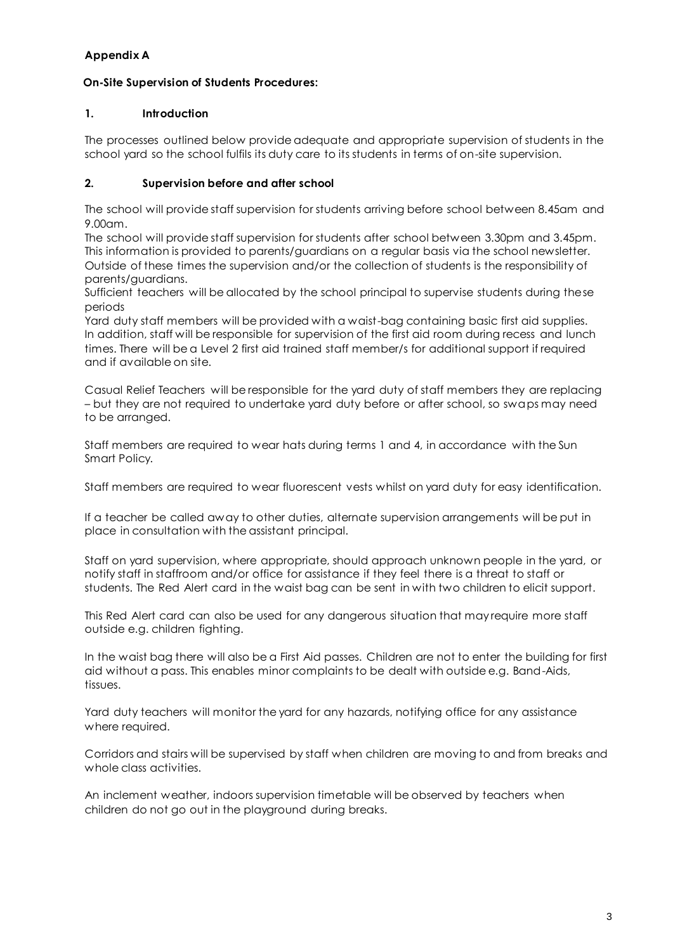## **Appendix A**

## **On-Site Supervision of Students Procedures:**

#### **1. Introduction**

The processes outlined below provide adequate and appropriate supervision of students in the school yard so the school fulfils its duty care to its students in terms of on-site supervision.

### **2. Supervision before and after school**

The school will provide staff supervision for students arriving before school between 8.45am and 9.00am.

The school will provide staff supervision for students after school between 3.30pm and 3.45pm. This information is provided to parents/guardians on a regular basis via the school newsletter. Outside of these times the supervision and/or the collection of students is the responsibility of parents/guardians.

Sufficient teachers will be allocated by the school principal to supervise students during these periods

Yard duty staff members will be provided with a waist-bag containing basic first aid supplies. In addition, staff will be responsible for supervision of the first aid room during recess and lunch times. There will be a Level 2 first aid trained staff member/s for additional support if required and if available on site.

Casual Relief Teachers will be responsible for the yard duty of staff members they are replacing – but they are not required to undertake yard duty before or after school, so swaps may need to be arranged.

Staff members are required to wear hats during terms 1 and 4, in accordance with the Sun Smart Policy.

Staff members are required to wear fluorescent vests whilst on yard duty for easy identification.

If a teacher be called away to other duties, alternate supervision arrangements will be put in place in consultation with the assistant principal.

Staff on yard supervision, where appropriate, should approach unknown people in the yard, or notify staff in staffroom and/or office for assistance if they feel there is a threat to staff or students. The Red Alert card in the waist bag can be sent in with two children to elicit support.

This Red Alert card can also be used for any dangerous situation that may require more staff outside e.g. children fighting.

In the waist bag there will also be a First Aid passes. Children are not to enter the building for first aid without a pass. This enables minor complaints to be dealt with outside e.g. Band-Aids, tissues.

Yard duty teachers will monitor the yard for any hazards, notifying office for any assistance where required.

Corridors and stairs will be supervised by staff when children are moving to and from breaks and whole class activities.

An inclement weather, indoors supervision timetable will be observed by teachers when children do not go out in the playground during breaks.